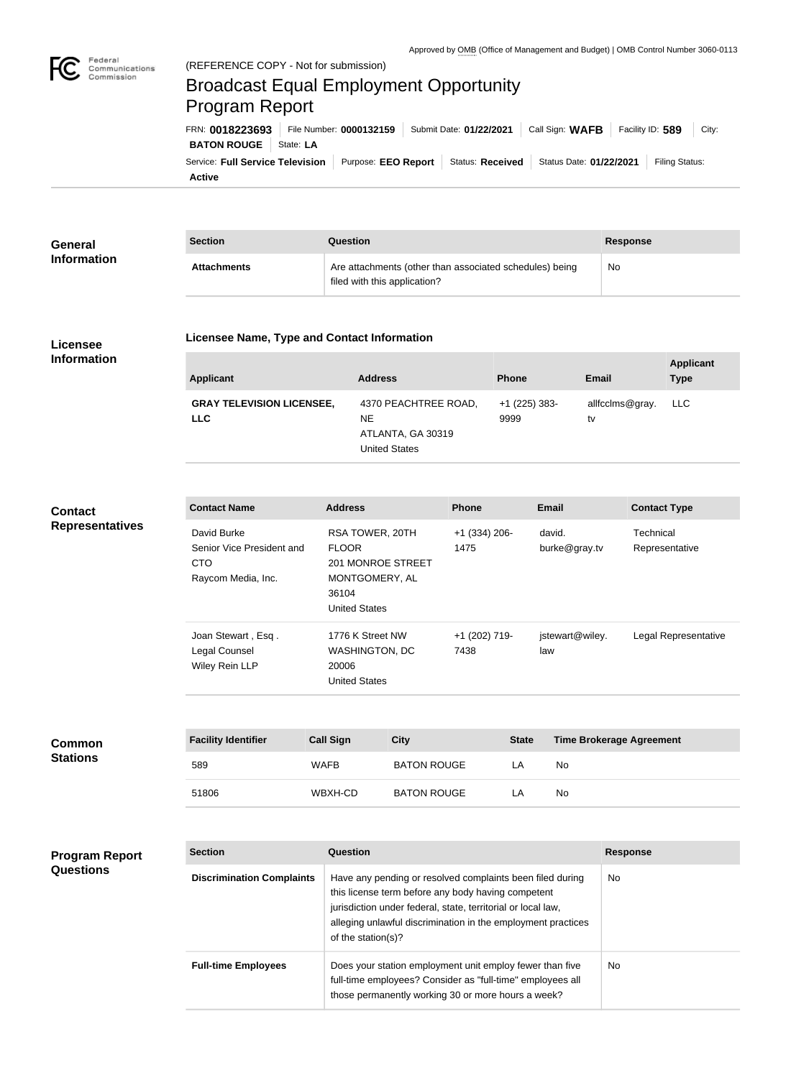

# Broadcast Equal Employment Opportunity Program Report

**Active** Service: Full Service Television | Purpose: EEO Report | Status: Received | Status Date: 01/22/2021 | Filing Status: **BATON ROUGE** | State: LA FRN: **0018223693** File Number: **0000132159** Submit Date: **01/22/2021** Call Sign: **WAFB** Facility ID: **589** City:

| General            | <b>Section</b>     | Question                                                                                | Response |
|--------------------|--------------------|-----------------------------------------------------------------------------------------|----------|
| <b>Information</b> | <b>Attachments</b> | Are attachments (other than associated schedules) being<br>filed with this application? | No       |

#### **Licensee Information**

#### **Licensee Name, Type and Contact Information**

| <b>Applicant</b>                               | <b>Address</b>                                                                 | <b>Phone</b>            | Email                 | <b>Applicant</b><br><b>Type</b> |
|------------------------------------------------|--------------------------------------------------------------------------------|-------------------------|-----------------------|---------------------------------|
| <b>GRAY TELEVISION LICENSEE,</b><br><b>LLC</b> | 4370 PEACHTREE ROAD,<br><b>NE</b><br>ATLANTA, GA 30319<br><b>United States</b> | $+1$ (225) 383-<br>9999 | allfcclms@gray.<br>tv | LLC L                           |

### **Contact Representatives**

| <b>Contact Name</b>       | <b>Address</b>       | <b>Phone</b>    | <b>Email</b>    | <b>Contact Type</b>  |
|---------------------------|----------------------|-----------------|-----------------|----------------------|
| David Burke               | RSA TOWER, 20TH      | $+1$ (334) 206- | david.          | Technical            |
| Senior Vice President and | <b>FLOOR</b>         | 1475            | burke@gray.tv   | Representative       |
| <b>CTO</b>                | 201 MONROE STREET    |                 |                 |                      |
| Raycom Media, Inc.        | MONTGOMERY, AL       |                 |                 |                      |
|                           | 36104                |                 |                 |                      |
|                           | <b>United States</b> |                 |                 |                      |
| Joan Stewart, Esq.        | 1776 K Street NW     | +1 (202) 719-   | jstewart@wiley. | Legal Representative |
| Legal Counsel             | WASHINGTON, DC       | 7438            | law             |                      |
| Wiley Rein LLP            | 20006                |                 |                 |                      |
|                           | <b>United States</b> |                 |                 |                      |
|                           |                      |                 |                 |                      |

| <b>Common</b><br><b>Stations</b> | <b>Facility Identifier</b> | <b>Call Sign</b> | City               | <b>State</b> | <b>Time Brokerage Agreement</b> |
|----------------------------------|----------------------------|------------------|--------------------|--------------|---------------------------------|
|                                  | 589                        | <b>WAFB</b>      | <b>BATON ROUGE</b> | _A           | No                              |
|                                  | 51806                      | WBXH-CD          | <b>BATON ROUGE</b> | LΑ           | No                              |

| <b>Program Report</b><br><b>Questions</b> | <b>Section</b>                   | Question                                                                                                                                                                                                                                                              | <b>Response</b> |
|-------------------------------------------|----------------------------------|-----------------------------------------------------------------------------------------------------------------------------------------------------------------------------------------------------------------------------------------------------------------------|-----------------|
|                                           | <b>Discrimination Complaints</b> | Have any pending or resolved complaints been filed during<br>this license term before any body having competent<br>jurisdiction under federal, state, territorial or local law,<br>alleging unlawful discrimination in the employment practices<br>of the station(s)? | No.             |
|                                           | <b>Full-time Employees</b>       | Does your station employment unit employ fewer than five<br>full-time employees? Consider as "full-time" employees all<br>those permanently working 30 or more hours a week?                                                                                          | No.             |